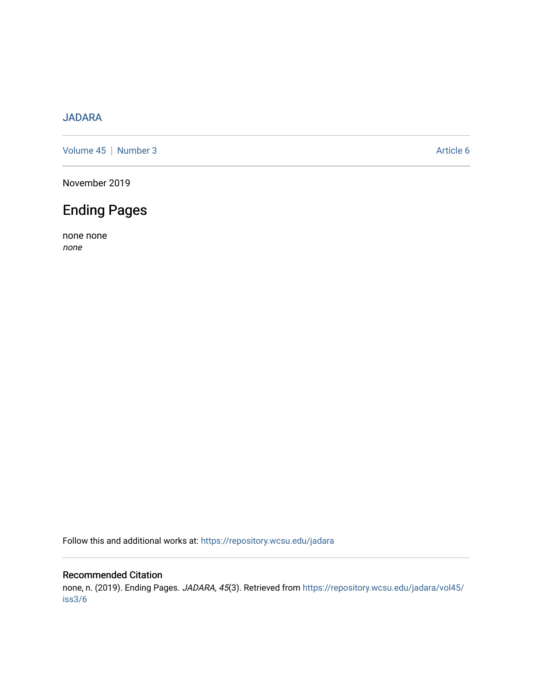### [JADARA](https://repository.wcsu.edu/jadara)

[Volume 45](https://repository.wcsu.edu/jadara/vol45) | [Number 3](https://repository.wcsu.edu/jadara/vol45/iss3) Article 6

November 2019

# Ending Pages

none none none

Follow this and additional works at: [https://repository.wcsu.edu/jadara](https://repository.wcsu.edu/jadara?utm_source=repository.wcsu.edu%2Fjadara%2Fvol45%2Fiss3%2F6&utm_medium=PDF&utm_campaign=PDFCoverPages)

#### Recommended Citation

none, n. (2019). Ending Pages. JADARA, 45(3). Retrieved from [https://repository.wcsu.edu/jadara/vol45/](https://repository.wcsu.edu/jadara/vol45/iss3/6?utm_source=repository.wcsu.edu%2Fjadara%2Fvol45%2Fiss3%2F6&utm_medium=PDF&utm_campaign=PDFCoverPages) [iss3/6](https://repository.wcsu.edu/jadara/vol45/iss3/6?utm_source=repository.wcsu.edu%2Fjadara%2Fvol45%2Fiss3%2F6&utm_medium=PDF&utm_campaign=PDFCoverPages)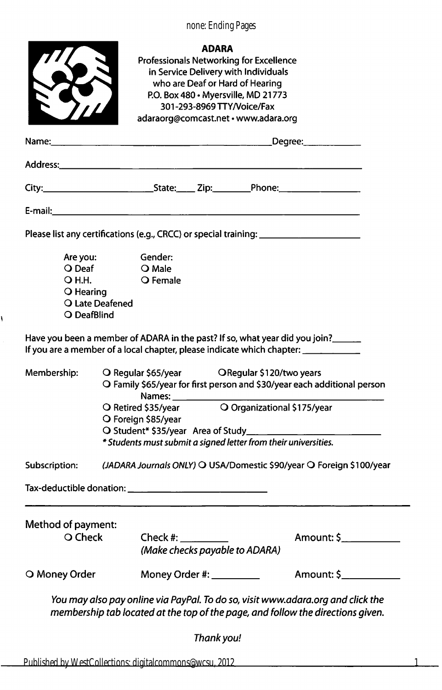none: Ending Pages



١

Professionals Networking for Excellence in Service Delivery with Individuals who are Deaf or Hard of Hearing P.O. Box 480 • Myersville, MD 21773 301 -293-8969 TTYA/oice/Fax adaraorg@comcast.net • www.adara.org

|                                                                             |                                                                                                                                                                                                                                | Degree: __________ |                                |                |  |
|-----------------------------------------------------------------------------|--------------------------------------------------------------------------------------------------------------------------------------------------------------------------------------------------------------------------------|--------------------|--------------------------------|----------------|--|
|                                                                             |                                                                                                                                                                                                                                |                    |                                |                |  |
|                                                                             |                                                                                                                                                                                                                                |                    |                                |                |  |
|                                                                             | E-mail: Album and the contract of the contract of the contract of the contract of the contract of the contract of the contract of the contract of the contract of the contract of the contract of the contract of the contract |                    |                                |                |  |
|                                                                             | Please list any certifications (e.g., CRCC) or special training: ________________                                                                                                                                              |                    |                                |                |  |
| Are you:<br>O Deaf<br>O H.H.<br>O Hearing<br>O Late Deafened<br>O DeafBlind | Gender:<br>O Male<br>O Female                                                                                                                                                                                                  |                    |                                |                |  |
|                                                                             | Have you been a member of ADARA in the past? If so, what year did you join?_____<br>If you are a member of a local chapter, please indicate which chapter: _________                                                           |                    |                                |                |  |
| Membership:                                                                 | O Regular \$65/year    QRegular \$120/two years<br>O Family \$65/year for first person and \$30/year each additional person<br>Names:                                                                                          |                    |                                |                |  |
|                                                                             | O Organizational \$175/year<br>O Retired \$35/year<br>O Foreign \$85/year<br>O Student* \$35/year Area of Study_______<br>* Students must submit a signed letter from their universities.                                      |                    |                                |                |  |
| Subscription:                                                               | (JADARA Journals ONLY) O USA/Domestic \$90/year O Foreign \$100/year                                                                                                                                                           |                    |                                |                |  |
|                                                                             |                                                                                                                                                                                                                                |                    |                                |                |  |
| Method of payment:<br>O Check                                               | Check #: $\frac{1}{2}$                                                                                                                                                                                                         |                    | (Make checks payable to ADARA) | Amount: \$     |  |
| O Money Order                                                               | Money Order #: _________                                                                                                                                                                                                       |                    |                                | Amount: \$____ |  |
|                                                                             | You may also pay online via PayPal. To do so, visit www.adara.org and click the<br>membership tab located at the top of the page, and follow the directions given.                                                             |                    |                                |                |  |
|                                                                             |                                                                                                                                                                                                                                | Thank you!         |                                |                |  |

1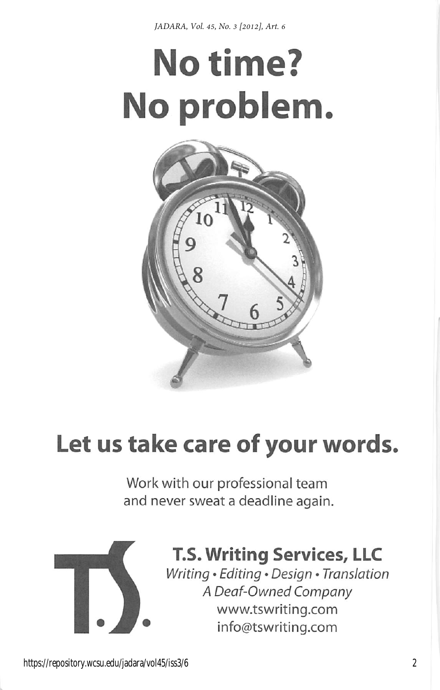*JADARA, Vol. 45, No. 3 [2012], Art. 6*

# No time? No problem



# Let us take care of your words.

Work with our professional team and never sweat a deadline again.



# T.S. Writing Services, LLC

Writing • Editing • Design • Translation A Deaf-Owned Company www.tswriting.com info@tswriting.com